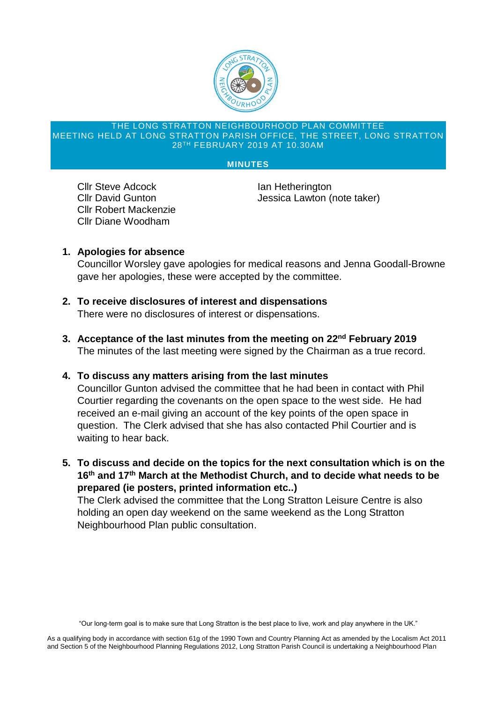

### THE LONG STRATTON NEIGHBOURHOOD PLAN COMMITTEE MEETING HELD AT LONG STRATTON PARISH OFFICE, THE STREET, LONG STRATTON 28TH FEBRUARY 2019 AT 10.30AM

### **MINUTES**

**Cllr Steve Adcock Ian Hetherington** Cllr Robert Mackenzie Cllr Diane Woodham

Cllr David Gunton **Click Clubse Click Clubse Click** Jessica Lawton (note taker)

# **1. Apologies for absence**

Councillor Worsley gave apologies for medical reasons and Jenna Goodall-Browne gave her apologies, these were accepted by the committee.

- **2. To receive disclosures of interest and dispensations** There were no disclosures of interest or dispensations.
- **3. Acceptance of the last minutes from the meeting on 22nd February 2019** The minutes of the last meeting were signed by the Chairman as a true record.
- **4. To discuss any matters arising from the last minutes**

Councillor Gunton advised the committee that he had been in contact with Phil Courtier regarding the covenants on the open space to the west side. He had received an e-mail giving an account of the key points of the open space in question. The Clerk advised that she has also contacted Phil Courtier and is waiting to hear back.

**5. To discuss and decide on the topics for the next consultation which is on the 16th and 17th March at the Methodist Church, and to decide what needs to be prepared (ie posters, printed information etc..)**

The Clerk advised the committee that the Long Stratton Leisure Centre is also holding an open day weekend on the same weekend as the Long Stratton Neighbourhood Plan public consultation.